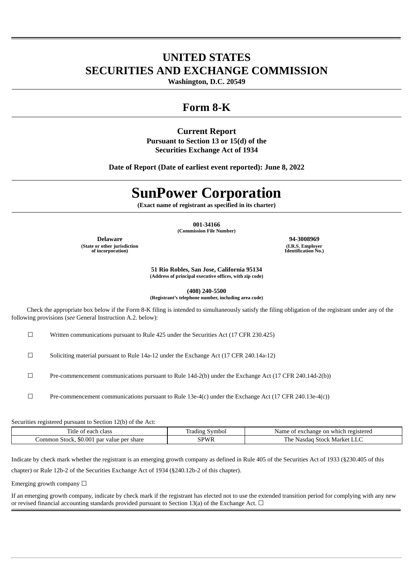# **UNITED STATES SECURITIES AND EXCHANGE COMMISSION**

**Washington, D.C. 20549**

# **Form 8-K**

# **Current Report**

**Pursuant to Section 13 or 15(d) of the Securities Exchange Act of 1934**

**Date of Report (Date of earliest event reported): June 8, 2022**

# **SunPower Corporation**

**(Exact name of registrant as specified in its charter)**

**001-34166 (Commission File Number)**

**Delaware 94-3008969 (State or other jurisdiction of incorporation)**

**(I.R.S. Employer Identification No.)**

**51 Rio Robles, San Jose, California 95134 (Address of principal executive offices, with zip code)**

**(408) 240-5500 (Registrant's telephone number, including area code)**

Check the appropriate box below if the Form 8-K filing is intended to simultaneously satisfy the filing obligation of the registrant under any of the following provisions (*see* General Instruction A.2. below):

☐ Written communications pursuant to Rule 425 under the Securities Act (17 CFR 230.425)

☐ Soliciting material pursuant to Rule 14a-12 under the Exchange Act (17 CFR 240.14a-12)

☐ Pre-commencement communications pursuant to Rule 14d-2(b) under the Exchange Act (17 CFR 240.14d-2(b))

 $\Box$  Pre-commencement communications pursuant to Rule 13e-4(c) under the Exchange Act (17 CFR 240.13e-4(c))

Securities registered pursuant to Section 12(b) of the Act:

| ÷.<br>l'itle<br>e of each class           | Symbol<br>radıng | Name of exchange on which registered     |
|-------------------------------------------|------------------|------------------------------------------|
| Common Stock, \$0.001 par value per share | <b>PWR</b>       | u Stock Market '<br>l he<br>Nasdad<br>ᆚᄔ |

Indicate by check mark whether the registrant is an emerging growth company as defined in Rule 405 of the Securities Act of 1933 (§230.405 of this

chapter) or Rule 12b-2 of the Securities Exchange Act of 1934 (§240.12b-2 of this chapter).

Emerging growth company  $\Box$ 

If an emerging growth company, indicate by check mark if the registrant has elected not to use the extended transition period for complying with any new or revised financial accounting standards provided pursuant to Section 13(a) of the Exchange Act.  $\Box$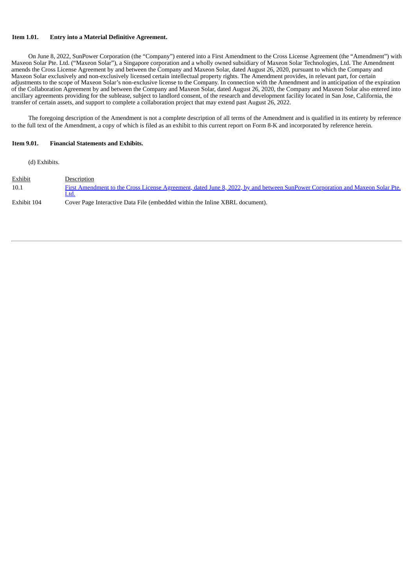## **Item 1.01. Entry into a Material Definitive Agreement.**

On June 8, 2022, SunPower Corporation (the "Company") entered into a First Amendment to the Cross License Agreement (the "Amendment") with Maxeon Solar Pte. Ltd. ("Maxeon Solar"), a Singapore corporation and a wholly owned subsidiary of Maxeon Solar Technologies, Ltd. The Amendment amends the Cross License Agreement by and between the Company and Maxeon Solar, dated August 26, 2020, pursuant to which the Company and Maxeon Solar exclusively and non-exclusively licensed certain intellectual property rights. The Amendment provides, in relevant part, for certain adjustments to the scope of Maxeon Solar's non-exclusive license to the Company. In connection with the Amendment and in anticipation of the expiration and in anticipation of the expiration of the Collaboration Agreement by and between the Company and Maxeon Solar, dated August 26, 2020, the Company and Maxeon Solar also entered into ancillary agreements providing for the sublease, subject to landlord consent, of the research and development facility located in San Jose, California, the transfer of certain assets, and support to complete a collaboration project that may extend past August 26, 2022.

The foregoing description of the Amendment is not a complete description of all terms of the Amendment and is qualified in its entirety by reference to the full text of the Amendment, a copy of which is filed as an exhibit to this current report on Form 8-K and incorporated by reference herein.

#### **Item 9.01. Financial Statements and Exhibits.**

(d) Exhibits.

| <b>Exhibit</b> | Description                                                                                                                           |
|----------------|---------------------------------------------------------------------------------------------------------------------------------------|
| 10.1           | First Amendment to the Cross License Agreement, dated June 8, 2022, by and between SunPower Corporation and Maxeon Solar Pte.<br>Ltd. |
| Exhibit 104    | Cover Page Interactive Data File (embedded within the Inline XBRL document).                                                          |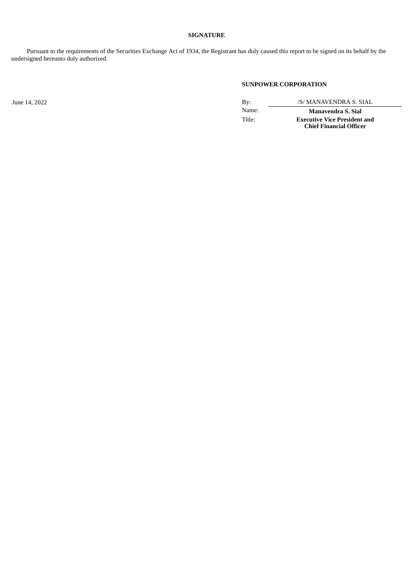# **SIGNATURE**

Pursuant to the requirements of the Securities Exchange Act of 1934, the Registrant has duly caused this report to be signed on its behalf by the undersigned hereunto duly authorized.

# **SUNPOWER CORPORATION**

June 14, 2022 *By: /S/ MANAVENDRA S. SIAL* 

Name: **Manavendra S. Sial** Title: **Executive Vice President and Chief Financial Officer**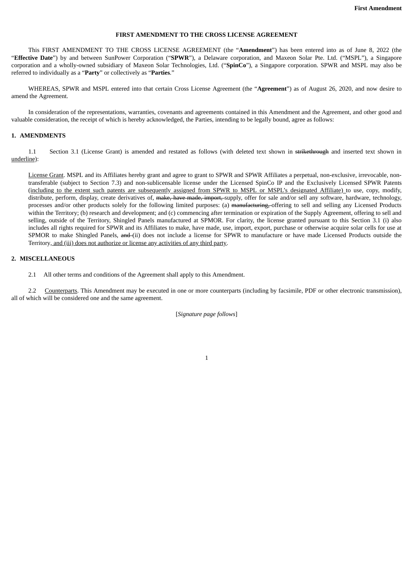## **FIRST AMENDMENT TO THE CROSS LICENSE AGREEMENT**

<span id="page-3-0"></span>This FIRST AMENDMENT TO THE CROSS LICENSE AGREEMENT (the "**Amendment**") has been entered into as of June 8, 2022 (the "**Effective Date**") by and between SunPower Corporation ("**SPWR**"), a Delaware corporation, and Maxeon Solar Pte. Ltd. ("MSPL"), a Singapore corporation and a wholly-owned subsidiary of Maxeon Solar Technologies, Ltd. ("**SpinCo**"), a Singapore corporation. SPWR and MSPL may also be referred to individually as a "**Party**" or collectively as "**Parties**."

WHEREAS, SPWR and MSPL entered into that certain Cross License Agreement (the "**Agreement**") as of August 26, 2020, and now desire to amend the Agreement.

In consideration of the representations, warranties, covenants and agreements contained in this Amendment and the Agreement, and other good and valuable consideration, the receipt of which is hereby acknowledged, the Parties, intending to be legally bound, agree as follows:

#### **1. AMENDMENTS**

1.1 Section 3.1 (License Grant) is amended and restated as follows (with deleted text shown in strikethrough and inserted text shown in underline):

License Grant. MSPL and its Affiliates hereby grant and agree to grant to SPWR and SPWR Affiliates a perpetual, non-exclusive, irrevocable, nontransferable (subject to Section 7.3) and non‐sublicensable license under the Licensed SpinCo IP and the Exclusively Licensed SPWR Patents (including to the extent such patents are subsequently assigned from SPWR to MSPL or MSPL's designated Affiliate) to use, copy, modify, distribute, perform, display, create derivatives of, make, have made, import, supply, offer for sale and/or sell any software, hardware, technology, processes and/or other products solely for the following limited purposes: (a) manufacturing, offering to sell and selling any Licensed Products within the Territory; (b) research and development; and (c) commencing after termination or expiration of the Supply Agreement, offering to sell and selling, outside of the Territory, Shingled Panels manufactured at SPMOR. For clarity, the license granted pursuant to this Section 3.1 (i) also includes all rights required for SPWR and its Affiliates to make, have made, use, import, export, purchase or otherwise acquire solar cells for use at SPMOR to make Shingled Panels, and (ii) does not include a license for SPWR to manufacture or have made Licensed Products outside the Territory, and (iii) does not authorize or license any activities of any third party.

## **2. MISCELLANEOUS**

2.1 All other terms and conditions of the Agreement shall apply to this Amendment.

2.2 Counterparts. This Amendment may be executed in one or more counterparts (including by facsimile, PDF or other electronic transmission), all of which will be considered one and the same agreement.

[*Signature page follows*]

1